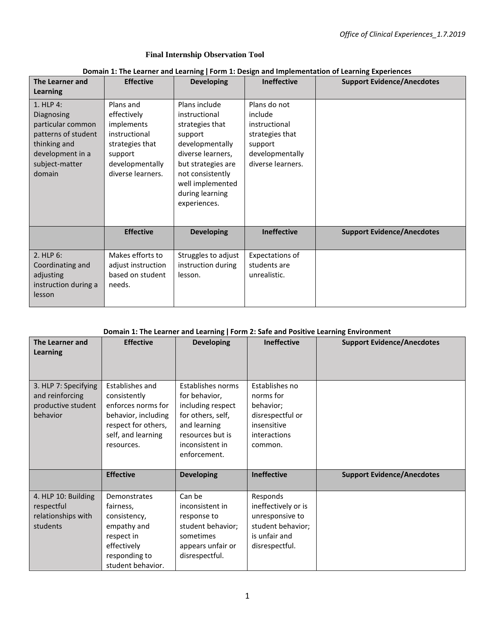#### **Final Internship Observation Tool**

#### **Domain 1: The Learner and Learning ǀ Form 1: Design and Implementation of Learning Experiences**

| The Learner and                                                                                                                     | <b>Effective</b>                                                                                                              | <b>Developing</b>                                                                                                                                                                                     | <b>Ineffective</b>                                                                                             | <b>Support Evidence/Anecdotes</b> |
|-------------------------------------------------------------------------------------------------------------------------------------|-------------------------------------------------------------------------------------------------------------------------------|-------------------------------------------------------------------------------------------------------------------------------------------------------------------------------------------------------|----------------------------------------------------------------------------------------------------------------|-----------------------------------|
| Learning                                                                                                                            |                                                                                                                               |                                                                                                                                                                                                       |                                                                                                                |                                   |
| 1. HLP 4:<br>Diagnosing<br>particular common<br>patterns of student<br>thinking and<br>development in a<br>subject-matter<br>domain | Plans and<br>effectively<br>implements<br>instructional<br>strategies that<br>support<br>developmentally<br>diverse learners. | Plans include<br>instructional<br>strategies that<br>support<br>developmentally<br>diverse learners,<br>but strategies are<br>not consistently<br>well implemented<br>during learning<br>experiences. | Plans do not<br>include<br>instructional<br>strategies that<br>support<br>developmentally<br>diverse learners. |                                   |
|                                                                                                                                     | <b>Effective</b>                                                                                                              | <b>Developing</b>                                                                                                                                                                                     | <b>Ineffective</b>                                                                                             | <b>Support Evidence/Anecdotes</b> |
| $2.$ HLP $6:$<br>Coordinating and<br>adjusting<br>instruction during a<br>lesson                                                    | Makes efforts to<br>adjust instruction<br>based on student<br>needs.                                                          | Struggles to adjust<br>instruction during<br>lesson.                                                                                                                                                  | Expectations of<br>students are<br>unrealistic.                                                                |                                   |

### **Domain 1: The Learner and Learning ǀ Form 2: Safe and Positive Learning Environment**

| The Learner and<br>Learning                                               | <b>Effective</b>                                                                                                                        | <b>Developing</b>                                                                                                                                   | <b>Ineffective</b>                                                                                         | <b>Support Evidence/Anecdotes</b> |
|---------------------------------------------------------------------------|-----------------------------------------------------------------------------------------------------------------------------------------|-----------------------------------------------------------------------------------------------------------------------------------------------------|------------------------------------------------------------------------------------------------------------|-----------------------------------|
| 3. HLP 7: Specifying<br>and reinforcing<br>productive student<br>behavior | Establishes and<br>consistently<br>enforces norms for<br>behavior, including<br>respect for others,<br>self, and learning<br>resources. | Establishes norms<br>for behavior,<br>including respect<br>for others, self,<br>and learning<br>resources but is<br>inconsistent in<br>enforcement. | Establishes no<br>norms for<br>behavior;<br>disrespectful or<br>insensitive<br>interactions<br>common.     |                                   |
|                                                                           | <b>Effective</b>                                                                                                                        | <b>Developing</b>                                                                                                                                   | <b>Ineffective</b>                                                                                         | <b>Support Evidence/Anecdotes</b> |
| 4. HLP 10: Building<br>respectful<br>relationships with<br>students       | Demonstrates<br>fairness,<br>consistency,<br>empathy and<br>respect in<br>effectively<br>responding to<br>student behavior.             | Can be<br>inconsistent in<br>response to<br>student behavior;<br>sometimes<br>appears unfair or<br>disrespectful.                                   | Responds<br>ineffectively or is<br>unresponsive to<br>student behavior;<br>is unfair and<br>disrespectful. |                                   |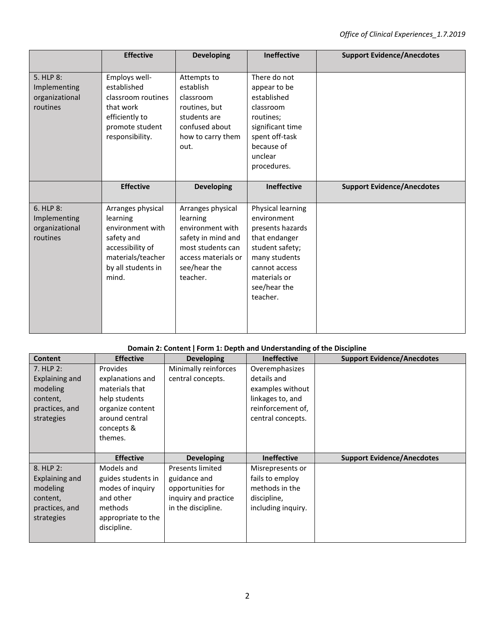|                                                         | <b>Effective</b>                                                                                                                        | <b>Developing</b>                                                                                                                               | <b>Ineffective</b>                                                                                                                                                     | <b>Support Evidence/Anecdotes</b> |
|---------------------------------------------------------|-----------------------------------------------------------------------------------------------------------------------------------------|-------------------------------------------------------------------------------------------------------------------------------------------------|------------------------------------------------------------------------------------------------------------------------------------------------------------------------|-----------------------------------|
| 5. HLP 8:<br>Implementing<br>organizational<br>routines | Employs well-<br>established<br>classroom routines<br>that work<br>efficiently to<br>promote student<br>responsibility.                 | Attempts to<br>establish<br>classroom<br>routines, but<br>students are<br>confused about<br>how to carry them<br>out.                           | There do not<br>appear to be<br>established<br>classroom<br>routines;<br>significant time<br>spent off-task<br>because of<br>unclear<br>procedures.                    |                                   |
|                                                         | <b>Effective</b>                                                                                                                        | <b>Developing</b>                                                                                                                               | <b>Ineffective</b>                                                                                                                                                     | <b>Support Evidence/Anecdotes</b> |
| 6. HLP 8:<br>Implementing<br>organizational<br>routines | Arranges physical<br>learning<br>environment with<br>safety and<br>accessibility of<br>materials/teacher<br>by all students in<br>mind. | Arranges physical<br>learning<br>environment with<br>safety in mind and<br>most students can<br>access materials or<br>see/hear the<br>teacher. | Physical learning<br>environment<br>presents hazards<br>that endanger<br>student safety;<br>many students<br>cannot access<br>materials or<br>see/hear the<br>teacher. |                                   |

# **Domain 2: Content ǀ Form 1: Depth and Understanding of the Discipline**

| Content        | <b>Effective</b>   | <b>Developing</b>       | <b>Ineffective</b> | <b>Support Evidence/Anecdotes</b> |
|----------------|--------------------|-------------------------|--------------------|-----------------------------------|
| $7.$ HLP 2:    | <b>Provides</b>    | Minimally reinforces    | Overemphasizes     |                                   |
| Explaining and | explanations and   | central concepts.       | details and        |                                   |
| modeling       | materials that     |                         | examples without   |                                   |
| content,       | help students      |                         | linkages to, and   |                                   |
| practices, and | organize content   |                         | reinforcement of,  |                                   |
| strategies     | around central     |                         | central concepts.  |                                   |
|                | concepts &         |                         |                    |                                   |
|                | themes.            |                         |                    |                                   |
|                |                    |                         |                    |                                   |
|                |                    |                         |                    |                                   |
|                | <b>Effective</b>   | <b>Developing</b>       | <b>Ineffective</b> | <b>Support Evidence/Anecdotes</b> |
| 8. HLP 2:      | Models and         | <b>Presents limited</b> | Misrepresents or   |                                   |
| Explaining and | guides students in | guidance and            | fails to employ    |                                   |
| modeling       | modes of inquiry   | opportunities for       | methods in the     |                                   |
| content,       | and other          | inquiry and practice    | discipline,        |                                   |
| practices, and | methods            | in the discipline.      | including inquiry. |                                   |
| strategies     | appropriate to the |                         |                    |                                   |
|                | discipline.        |                         |                    |                                   |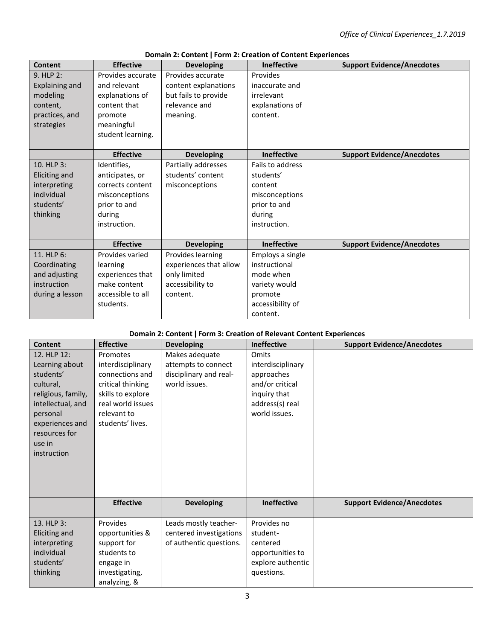| Content               | <b>Effective</b>  | <b>Developing</b>      | <b>Ineffective</b> | <b>Support Evidence/Anecdotes</b> |
|-----------------------|-------------------|------------------------|--------------------|-----------------------------------|
| 9. HLP 2:             | Provides accurate | Provides accurate      | Provides           |                                   |
| <b>Explaining and</b> | and relevant      | content explanations   | inaccurate and     |                                   |
| modeling              | explanations of   | but fails to provide   | irrelevant         |                                   |
| content,              | content that      | relevance and          | explanations of    |                                   |
| practices, and        | promote           | meaning.               | content.           |                                   |
| strategies            | meaningful        |                        |                    |                                   |
|                       | student learning. |                        |                    |                                   |
|                       |                   |                        |                    |                                   |
|                       | <b>Effective</b>  | <b>Developing</b>      | <b>Ineffective</b> | <b>Support Evidence/Anecdotes</b> |
| 10. HLP 3:            | Identifies,       | Partially addresses    | Fails to address   |                                   |
| <b>Eliciting and</b>  | anticipates, or   | students' content      | students'          |                                   |
| interpreting          | corrects content  | misconceptions         | content            |                                   |
| individual            | misconceptions    |                        | misconceptions     |                                   |
| students'             | prior to and      |                        | prior to and       |                                   |
| thinking              | during            |                        | during             |                                   |
|                       | instruction.      |                        | instruction.       |                                   |
|                       |                   |                        |                    |                                   |
|                       | <b>Effective</b>  | <b>Developing</b>      | Ineffective        | <b>Support Evidence/Anecdotes</b> |
| 11. HLP 6:            | Provides varied   | Provides learning      | Employs a single   |                                   |
| Coordinating          | learning          | experiences that allow | instructional      |                                   |
| and adjusting         | experiences that  | only limited           | mode when          |                                   |
| instruction           | make content      | accessibility to       | variety would      |                                   |
| during a lesson       | accessible to all | content.               | promote            |                                   |
|                       | students.         |                        | accessibility of   |                                   |
|                       |                   |                        | content.           |                                   |

## **Domain 2: Content ǀ Form 2: Creation of Content Experiences**

## **Domain 2: Content ǀ Form 3: Creation of Relevant Content Experiences**

| <b>Content</b>                                                                                                                                                              | <b>Effective</b>                                                                                                                                   | <b>Developing</b>                                                                | <b>Ineffective</b>                                                                                              | <b>Support Evidence/Anecdotes</b> |
|-----------------------------------------------------------------------------------------------------------------------------------------------------------------------------|----------------------------------------------------------------------------------------------------------------------------------------------------|----------------------------------------------------------------------------------|-----------------------------------------------------------------------------------------------------------------|-----------------------------------|
| 12. HLP 12:<br>Learning about<br>students'<br>cultural,<br>religious, family,<br>intellectual, and<br>personal<br>experiences and<br>resources for<br>use in<br>instruction | Promotes<br>interdisciplinary<br>connections and<br>critical thinking<br>skills to explore<br>real world issues<br>relevant to<br>students' lives. | Makes adequate<br>attempts to connect<br>disciplinary and real-<br>world issues. | Omits<br>interdisciplinary<br>approaches<br>and/or critical<br>inquiry that<br>address(s) real<br>world issues. |                                   |
|                                                                                                                                                                             | <b>Effective</b>                                                                                                                                   | <b>Developing</b>                                                                | <b>Ineffective</b>                                                                                              | <b>Support Evidence/Anecdotes</b> |
| 13. HLP 3:<br>Eliciting and<br>interpreting<br>individual<br>students'<br>thinking                                                                                          | Provides<br>opportunities &<br>support for<br>students to<br>engage in<br>investigating,<br>analyzing, &                                           | Leads mostly teacher-<br>centered investigations<br>of authentic questions.      | Provides no<br>student-<br>centered<br>opportunities to<br>explore authentic<br>questions.                      |                                   |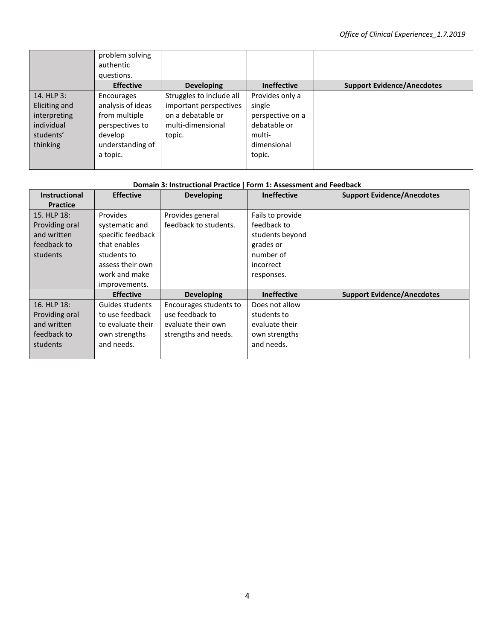|                                                                                    | problem solving<br>authentic<br>questions.                                                                     |                                                                                                        |                                                                                                  |                                   |
|------------------------------------------------------------------------------------|----------------------------------------------------------------------------------------------------------------|--------------------------------------------------------------------------------------------------------|--------------------------------------------------------------------------------------------------|-----------------------------------|
|                                                                                    | <b>Effective</b>                                                                                               | <b>Developing</b>                                                                                      | <b>Ineffective</b>                                                                               | <b>Support Evidence/Anecdotes</b> |
| 14. HLP 3:<br>Eliciting and<br>interpreting<br>individual<br>students'<br>thinking | Encourages<br>analysis of ideas<br>from multiple<br>perspectives to<br>develop<br>understanding of<br>a topic. | Struggles to include all<br>important perspectives<br>on a debatable or<br>multi-dimensional<br>topic. | Provides only a<br>single<br>perspective on a<br>debatable or<br>multi-<br>dimensional<br>topic. |                                   |

| <b>Instructional</b> | <b>Effective</b>  | <b>Developing</b>      | <b>Ineffective</b> | <b>Support Evidence/Anecdotes</b> |
|----------------------|-------------------|------------------------|--------------------|-----------------------------------|
| <b>Practice</b>      |                   |                        |                    |                                   |
| 15. HLP 18:          | <b>Provides</b>   | Provides general       | Fails to provide   |                                   |
| Providing oral       | systematic and    | feedback to students.  | feedback to        |                                   |
| and written          | specific feedback |                        | students beyond    |                                   |
| feedback to          | that enables      |                        | grades or          |                                   |
| students             | students to       |                        | number of          |                                   |
|                      | assess their own  |                        | incorrect          |                                   |
|                      | work and make     |                        | responses.         |                                   |
|                      | improvements.     |                        |                    |                                   |
|                      | <b>Effective</b>  | <b>Developing</b>      | <b>Ineffective</b> | <b>Support Evidence/Anecdotes</b> |
| 16. HLP 18:          | Guides students   | Encourages students to | Does not allow     |                                   |
| Providing oral       | to use feedback   | use feedback to        | students to        |                                   |
| and written          | to evaluate their | evaluate their own     | evaluate their     |                                   |
| feedback to          | own strengths     | strengths and needs.   | own strengths      |                                   |
| students             | and needs.        |                        | and needs.         |                                   |
|                      |                   |                        |                    |                                   |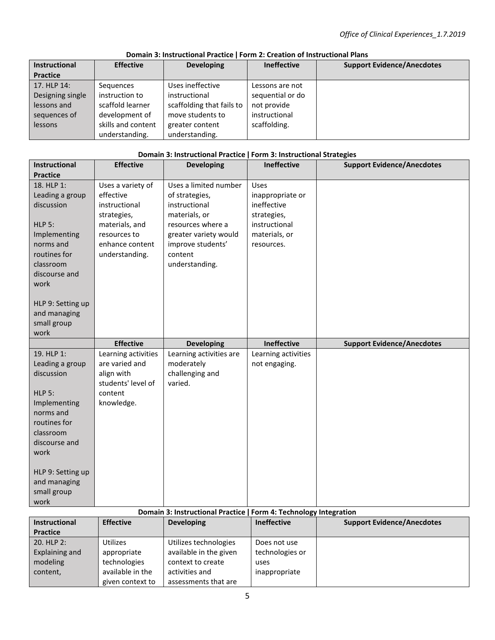| <b>Instructional</b><br><b>Practice</b> | <b>Effective</b>   | <b>Developing</b>         | <b>Ineffective</b> | <b>Support Evidence/Anecdotes</b> |
|-----------------------------------------|--------------------|---------------------------|--------------------|-----------------------------------|
| 17. HLP 14:                             | Sequences          | Uses ineffective          | Lessons are not    |                                   |
| Designing single                        | instruction to     | instructional             | sequential or do   |                                   |
| lessons and                             | scaffold learner   | scaffolding that fails to | not provide        |                                   |
| sequences of                            | development of     | move students to          | instructional      |                                   |
| lessons                                 | skills and content | greater content           | scaffolding.       |                                   |
|                                         | understanding.     | understanding.            |                    |                                   |

## **Domain 3: Instructional Practice ǀ Form 2: Creation of Instructional Plans**

#### **Domain 3: Instructional Practice ǀ Form 3: Instructional Strategies**

| <b>Instructional</b>              | <b>Effective</b>    | <b>Developing</b>       | Ineffective         | <b>Support Evidence/Anecdotes</b> |
|-----------------------------------|---------------------|-------------------------|---------------------|-----------------------------------|
| <b>Practice</b>                   |                     |                         |                     |                                   |
| 18. HLP 1:                        | Uses a variety of   | Uses a limited number   | Uses                |                                   |
| Leading a group                   | effective           | of strategies,          | inappropriate or    |                                   |
| discussion                        | instructional       | instructional           | ineffective         |                                   |
|                                   | strategies,         | materials, or           | strategies,         |                                   |
| <b>HLP 5:</b>                     | materials, and      | resources where a       | instructional       |                                   |
| Implementing                      | resources to        | greater variety would   | materials, or       |                                   |
| norms and                         | enhance content     | improve students'       | resources.          |                                   |
| routines for                      | understanding.      | content                 |                     |                                   |
| classroom                         |                     | understanding.          |                     |                                   |
| discourse and                     |                     |                         |                     |                                   |
| work                              |                     |                         |                     |                                   |
| HLP 9: Setting up                 |                     |                         |                     |                                   |
| and managing                      |                     |                         |                     |                                   |
| small group                       |                     |                         |                     |                                   |
|                                   |                     |                         |                     |                                   |
| work                              |                     |                         |                     |                                   |
|                                   | <b>Effective</b>    | <b>Developing</b>       | Ineffective         | <b>Support Evidence/Anecdotes</b> |
| 19. HLP 1:                        | Learning activities | Learning activities are | Learning activities |                                   |
| Leading a group                   | are varied and      | moderately              | not engaging.       |                                   |
| discussion                        | align with          | challenging and         |                     |                                   |
|                                   | students' level of  | varied.                 |                     |                                   |
| <b>HLP 5:</b>                     | content             |                         |                     |                                   |
| Implementing                      | knowledge.          |                         |                     |                                   |
| norms and                         |                     |                         |                     |                                   |
| routines for                      |                     |                         |                     |                                   |
| classroom                         |                     |                         |                     |                                   |
| discourse and                     |                     |                         |                     |                                   |
| work                              |                     |                         |                     |                                   |
|                                   |                     |                         |                     |                                   |
| HLP 9: Setting up<br>and managing |                     |                         |                     |                                   |
| small group                       |                     |                         |                     |                                   |

## **Domain 3: Instructional Practice ǀ Form 4: Technology Integration**

| <b>Instructional</b> | <b>Effective</b> | <b>Developing</b>      | <b>Ineffective</b> | <b>Support Evidence/Anecdotes</b> |
|----------------------|------------------|------------------------|--------------------|-----------------------------------|
| <b>Practice</b>      |                  |                        |                    |                                   |
| $20.$ HLP $2:$       | Utilizes         | Utilizes technologies  | Does not use       |                                   |
| Explaining and       | appropriate      | available in the given | technologies or    |                                   |
| modeling             | technologies     | context to create      | uses               |                                   |
| content,             | available in the | activities and         | inappropriate      |                                   |
|                      | given context to | assessments that are   |                    |                                   |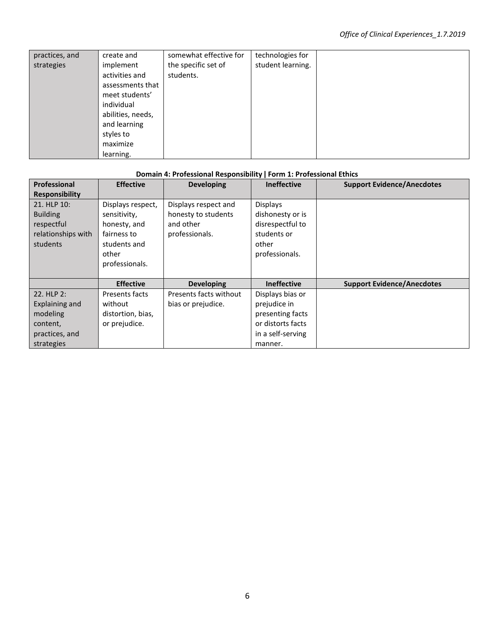| practices, and | create and        | somewhat effective for | technologies for  |
|----------------|-------------------|------------------------|-------------------|
| strategies     | implement         | the specific set of    | student learning. |
|                | activities and    | students.              |                   |
|                | assessments that  |                        |                   |
|                | meet students'    |                        |                   |
|                | individual        |                        |                   |
|                | abilities, needs, |                        |                   |
|                | and learning      |                        |                   |
|                | styles to         |                        |                   |
|                | maximize          |                        |                   |
|                | learning.         |                        |                   |

# **Domain 4: Professional Responsibility ǀ Form 1: Professional Ethics**

| Professional          | <b>Effective</b>  | <b>Developing</b>      | <b>Ineffective</b> | <b>Support Evidence/Anecdotes</b> |
|-----------------------|-------------------|------------------------|--------------------|-----------------------------------|
| <b>Responsibility</b> |                   |                        |                    |                                   |
| 21. HLP 10:           | Displays respect, | Displays respect and   | <b>Displays</b>    |                                   |
| <b>Building</b>       | sensitivity,      | honesty to students    | dishonesty or is   |                                   |
| respectful            | honesty, and      | and other              | disrespectful to   |                                   |
| relationships with    | fairness to       | professionals.         | students or        |                                   |
| students              | students and      |                        | other              |                                   |
|                       | other             |                        | professionals.     |                                   |
|                       | professionals.    |                        |                    |                                   |
|                       |                   |                        |                    |                                   |
|                       | <b>Effective</b>  | <b>Developing</b>      | Ineffective        | <b>Support Evidence/Anecdotes</b> |
| 22. HLP 2:            | Presents facts    | Presents facts without | Displays bias or   |                                   |
| Explaining and        | without           | bias or prejudice.     | prejudice in       |                                   |
| modeling              | distortion, bias, |                        | presenting facts   |                                   |
| content,              | or prejudice.     |                        | or distorts facts  |                                   |
| practices, and        |                   |                        | in a self-serving  |                                   |
| strategies            |                   |                        | manner.            |                                   |